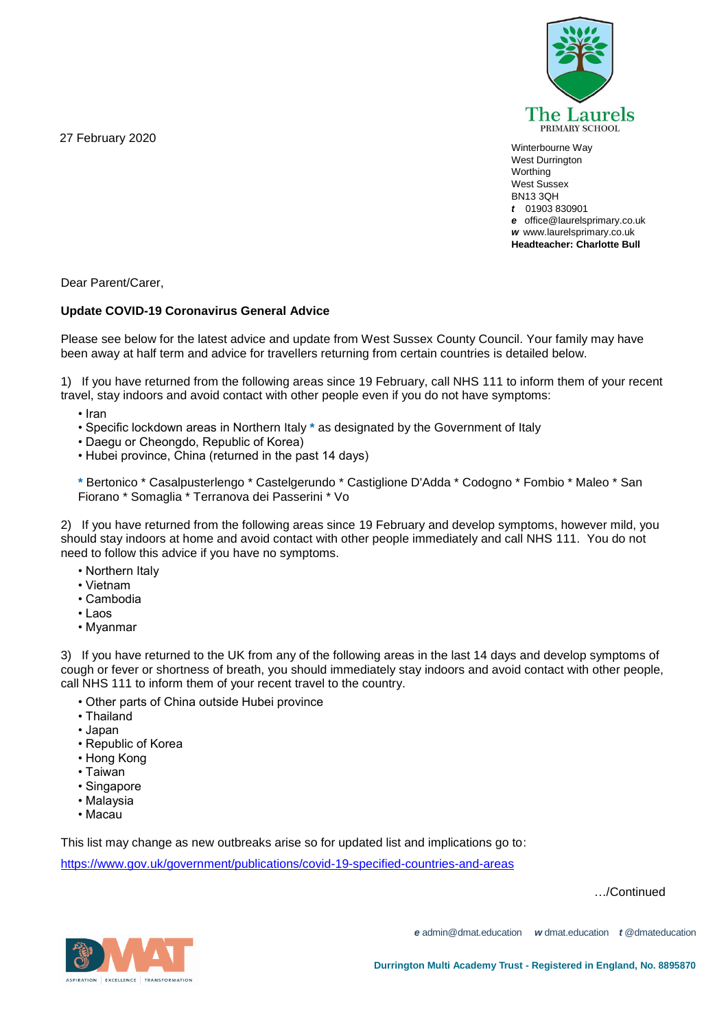27 February 2020



Winterbourne Way West Durrington **Worthing** West Sussex BN13 3QH *t* 01903 830901 *e* office@laurelsprimary.co.uk *w* www.laurelsprimary.co.uk **Headteacher: Charlotte Bull**

Dear Parent/Carer,

# **Update COVID-19 Coronavirus General Advice**

Please see below for the latest advice and update from West Sussex County Council. Your family may have been away at half term and advice for travellers returning from certain countries is detailed below.

1) If you have returned from the following areas since 19 February, call NHS 111 to inform them of your recent travel, stay indoors and avoid contact with other people even if you do not have symptoms:

• Iran

- Specific lockdown areas in Northern Italy **\*** as designated by the Government of Italy
- Daegu or Cheongdo, Republic of Korea)
- Hubei province, China (returned in the past 14 days)

**\*** Bertonico \* Casalpusterlengo \* Castelgerundo \* Castiglione D'Adda \* Codogno \* Fombio \* Maleo \* San Fiorano \* Somaglia \* Terranova dei Passerini \* Vo

2) If you have returned from the following areas since 19 February and develop symptoms, however mild, you should stay indoors at home and avoid contact with other people immediately and call NHS 111. You do not need to follow this advice if you have no symptoms.

- Northern Italy
- Vietnam
- Cambodia
- Laos
- Myanmar

3) If you have returned to the UK from any of the following areas in the last 14 days and develop symptoms of cough or fever or shortness of breath, you should immediately stay indoors and avoid contact with other people, call NHS 111 to inform them of your recent travel to the country.

- Other parts of China outside Hubei province
- Thailand
- Japan
- Republic of Korea
- Hong Kong
- Taiwan
- Singapore
- Malaysia
- Macau

This list may change as new outbreaks arise so for updated list and implications go to:

<https://www.gov.uk/government/publications/covid-19-specified-countries-and-areas>

…/Continued



*e* admin@dmat.education *w* dmat.education *t* @dmateducation